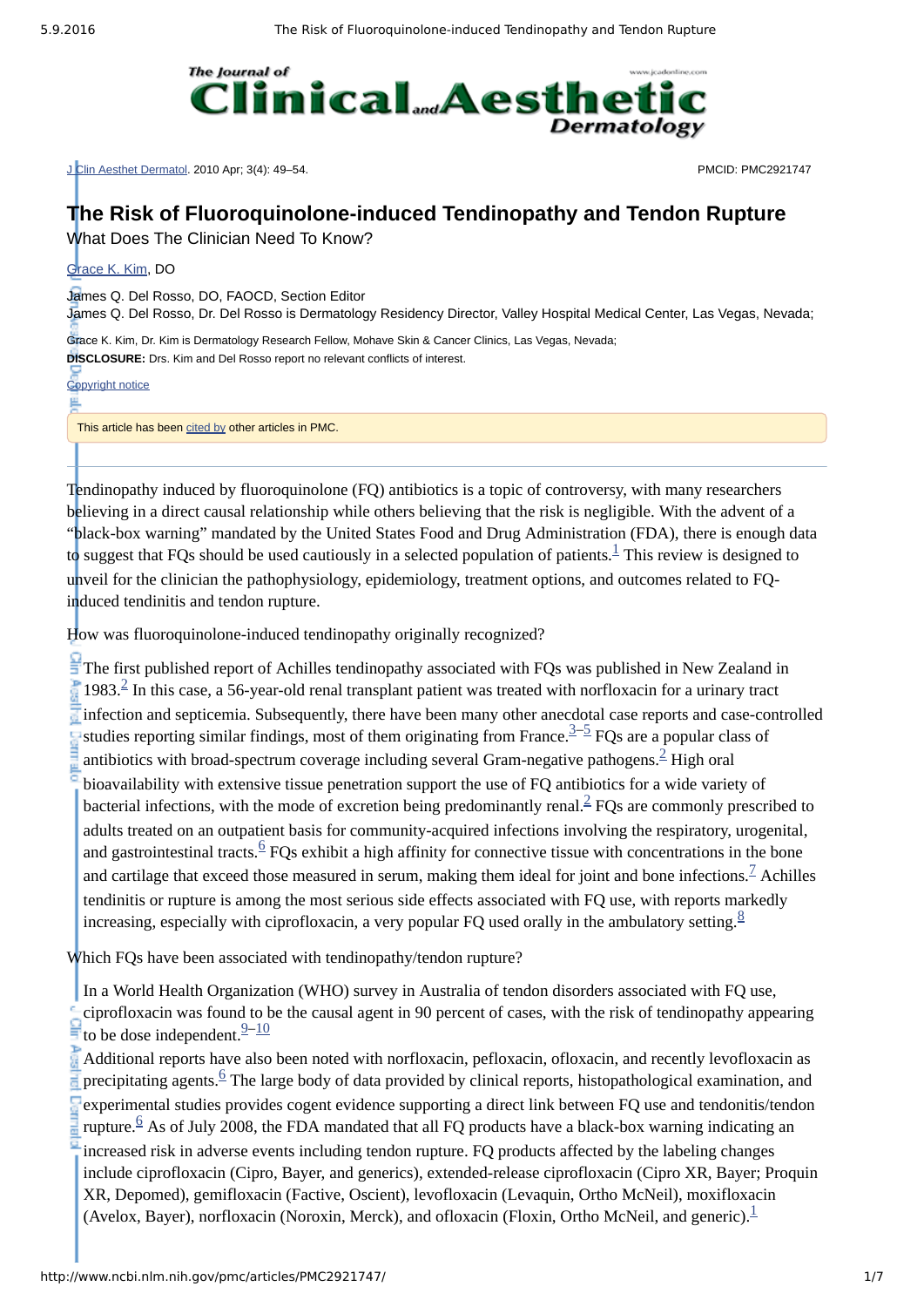

J Clin Aesthet Dermatol. 2010 Apr; 3(4): 49–54. PMCID: PMC2921747

# **The Risk of Fluoroquinolone-induced Tendinopathy and Tendon Rupture**

What Does The Clinician Need To Know?

#### [Grace](http://www.ncbi.nlm.nih.gov/pubmed/?term=Kim%20GK%5BAuthor%5D&cauthor=true&cauthor_uid=20725547) K. Kim, DO

James Q. Del Rosso, DO, FAOCD, Section Editor

James Q. Del Rosso, Dr. Del Rosso is Dermatology Residency Director, Valley Hospital Medical Center, Las Vegas, Nevada;

Grace K. Kim, Dr. Kim is Dermatology Research Fellow, Mohave Skin & Cancer Clinics, Las Vegas, Nevada; **DISCLOSURE:** Drs. Kim and Del Rosso report no relevant conflicts of interest.

[Copyright](http://www.ncbi.nlm.nih.gov/pmc/about/copyright/) notice

쁘

This article has been [cited](http://www.ncbi.nlm.nih.gov/pmc/articles/PMC2921747/citedby/) by other articles in PMC.

Tendinopathy induced by fluoroquinolone (FQ) antibiotics is a topic of controversy, with many researchers believing in a direct causal relationship while others believing that the risk is negligible. With the advent of a "black-box warning" mandated by the United States Food and Drug Administration (FDA), there is enough data to suggest that FQs should be used cautiously in a selected population of patients.<sup>[1](#page-4-0)</sup> This review is designed to unveil for the clinician the pathophysiology, epidemiology, treatment options, and outcomes related to FQinduced tendinitis and tendon rupture.

How was fluoroquinolone-induced tendinopathy originally recognized?

 $\frac{1}{2}$  The first published report of Achilles tendinopathy associated with FQs was published in New Zealand in  $1983<sup>2</sup>$  $1983<sup>2</sup>$  $1983<sup>2</sup>$  In this case, a 56-year-old renal transplant patient was treated with norfloxacin for a urinary tract infection and septicemia. Subsequently, there have been many other anecdotal case reports and case-controlled studies reporting similar findings, most of them originating from France. $3\overline{-5}$  $3\overline{-5}$  $3\overline{-5}$  FQs are a popular class of antibiotics with broad-spectrum coverage including several Gram-negative pathogens. $^{\underline{2}}$  $^{\underline{2}}$  $^{\underline{2}}$  High oral bioavailability with extensive tissue penetration support the use of FQ antibiotics for a wide variety of bacterial infections, with the mode of excretion being predominantly renal. $\frac{2}{5}$  $\frac{2}{5}$  $\frac{2}{5}$  FQs are commonly prescribed to adults treated on an outpatient basis for community-acquired infections involving the respiratory, urogenital, and gastrointestinal tracts. $6$  FQs exhibit a high affinity for connective tissue with concentrations in the bone and cartilage that exceed those measured in serum, making them ideal for joint and bone infections.<sup>Z</sup> Achilles tendinitis or rupture is among the most serious side effects associated with FQ use, with reports markedly increasing, especially with ciprofloxacin, a very popular FQ used orally in the ambulatory setting.<sup>[8](#page-4-6)</sup>

Which FQs have been associated with tendinopathy/tendon rupture?

In a World Health Organization (WHO) survey in Australia of tendon disorders associated with FQ use, ciprofloxacin was found to be the causal agent in 90 percent of cases, with the risk of tendinopathy appearing to be dose independent. $\frac{9-10}{1}$  $\frac{9-10}{1}$  $\frac{9-10}{1}$  $\frac{9-10}{1}$  $\frac{9-10}{1}$ 

Additional reports have also been noted with norfloxacin, pefloxacin, ofloxacin, and recently levofloxacin as precipitating agents.  $\frac{6}{5}$  $\frac{6}{5}$  $\frac{6}{5}$  The large body of data provided by clinical reports, histopathological examination, and experimental studies provides cogent evidence supporting a direct link between FQ use and tendonitis/tendon rupture.  $6$  As of July 2008, the FDA mandated that all FQ products have a black-box warning indicating an increased risk in adverse events including tendon rupture. FQ products affected by the labeling changes include ciprofloxacin (Cipro, Bayer, and generics), extended-release ciprofloxacin (Cipro XR, Bayer; Proquin XR, Depomed), gemifloxacin (Factive, Oscient), levofloxacin (Levaquin, Ortho McNeil), moxifloxacin (Avelox, Bayer), norfloxacin (Noroxin, Merck), and ofloxacin (Floxin, Ortho McNeil, and generic). [1](#page-4-0)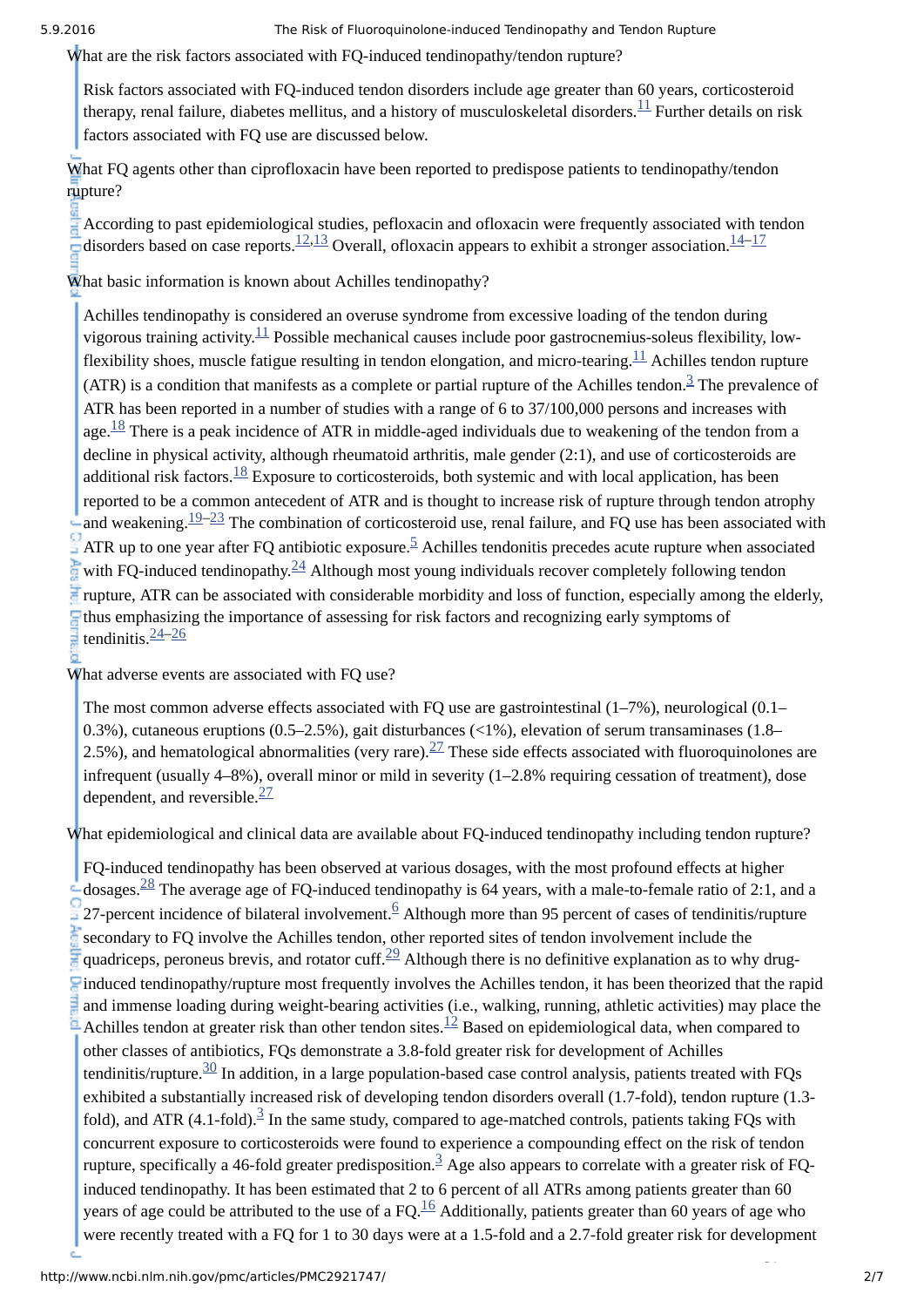What are the risk factors associated with FQ-induced tendinopathy/tendon rupture?

Risk factors associated with FQ-induced tendon disorders include age greater than 60 years, corticosteroid therapy, renal failure, diabetes mellitus, and a history of musculoskeletal disorders.<sup>[11](#page-4-9)</sup> Further details on risk factors associated with FQ use are discussed below.

What FQ agents other than ciprofloxacin have been reported to predispose patients to tendinopathy/tendon rupture?

According to past epidemiological studies, pefloxacin and ofloxacin were frequently associated with tendon disorders based on case reports.  $\frac{12,13}{2}$  $\frac{12,13}{2}$  $\frac{12,13}{2}$  $\frac{12,13}{2}$  Overall, ofloxacin appears to exhibit a stronger association.  $\frac{14-17}{2}$  $\frac{14-17}{2}$  $\frac{14-17}{2}$ 

What basic information is known about Achilles tendinopathy?

Achilles tendinopathy is considered an overuse syndrome from excessive loading of the tendon during vigorous training activity. $^{11}$  $^{11}$  $^{11}$  Possible mechanical causes include poor gastrocnemius-soleus flexibility, lowflexibility shoes, muscle fatigue resulting in tendon elongation, and micro-tearing. $^{11}$  $^{11}$  $^{11}$  Achilles tendon rupture (ATR) is a condition that manifests as a complete or partial rupture of the Achilles tendon.<sup>[3](#page-4-2)</sup> The prevalence of ATR has been reported in a number of studies with a range of 6 to 37/100,000 persons and increases with age. $^{18}$  $^{18}$  $^{18}$  There is a peak incidence of ATR in middle-aged individuals due to weakening of the tendon from a decline in physical activity, although rheumatoid arthritis, male gender (2:1), and use of corticosteroids are additional risk factors. $^{18}$  $^{18}$  $^{18}$  Exposure to corticosteroids, both systemic and with local application, has been reported to be a common antecedent of ATR and is thought to increase risk of rupture through tendon atrophy and weakening. $\frac{19-23}{2}$  $\frac{19-23}{2}$  $\frac{19-23}{2}$  The combination of corticosteroid use, renal failure, and FQ use has been associated with ATR up to one year after FQ antibiotic exposure.<sup>[5](#page-4-3)</sup> Achilles tendonitis precedes acute rupture when associated with FQ-induced tendinopathy. $\frac{24}{ }$  $\frac{24}{ }$  $\frac{24}{ }$  Although most young individuals recover completely following tendon rupture, ATR can be associated with considerable morbidity and loss of function, especially among the elderly,  $\Box$  thus emphasizing the importance of assessing for risk factors and recognizing early symptoms of tendinitis.<sup>[24](#page-5-4)-[26](#page-5-5)</sup>

What adverse events are associated with FQ use?

The most common adverse effects associated with FQ use are gastrointestinal (1–7%), neurological (0.1– 0.3%), cutaneous eruptions (0.5–2.5%), gait disturbances (<1%), elevation of serum transaminases (1.8– 2.5%), and hematological abnormalities (very rare). $^{27}$  $^{27}$  $^{27}$  These side effects associated with fluoroquinolones are infrequent (usually 4–8%), overall minor or mild in severity (1–2.8% requiring cessation of treatment), dose dependent, and reversible.<sup>[27](#page-5-6)</sup>

What epidemiological and clinical data are available about FQ-induced tendinopathy including tendon rupture?

FQ-induced tendinopathy has been observed at various dosages, with the most profound effects at higher dosages.<sup>[28](#page-5-7)</sup> The average age of FQ-induced tendinopathy is 64 years, with a male-to-female ratio of 2:1, and a 27-percent incidence of bilateral involvement. $6$  Although more than 95 percent of cases of tendinitis/rupture secondary to FQ involve the Achilles tendon, other reported sites of tendon involvement include the quadriceps, peroneus brevis, and rotator cuff.<sup>[29](#page-5-8)</sup> Although there is no definitive explanation as to why druginduced tendinopathy/rupture most frequently involves the Achilles tendon, it has been theorized that the rapid and immense loading during weight-bearing activities (i.e., walking, running, athletic activities) may place the Achilles tendon at greater risk than other tendon sites. $\frac{12}{2}$  $\frac{12}{2}$  $\frac{12}{2}$  Based on epidemiological data, when compared to other classes of antibiotics, FQs demonstrate a 3.8-fold greater risk for development of Achilles tendinitis/rupture. $\frac{30}{10}$  $\frac{30}{10}$  $\frac{30}{10}$  In addition, in a large population-based case control analysis, patients treated with FQs exhibited a substantially increased risk of developing tendon disorders overall (1.7-fold), tendon rupture (1.3-fold), and ATR (4.1-fold).<sup>[3](#page-4-2)</sup> In the same study, compared to age-matched controls, patients taking FQs with concurrent exposure to corticosteroids were found to experience a compounding effect on the risk of tendon rupture, specifically a 46-fold greater predisposition.  $\frac{3}{4}$  $\frac{3}{4}$  $\frac{3}{4}$  Age also appears to correlate with a greater risk of FQinduced tendinopathy. It has been estimated that 2 to 6 percent of all ATRs among patients greater than 60 years of age could be attributed to the use of a FQ. $^{16}$  $^{16}$  $^{16}$  Additionally, patients greater than 60 years of age who were recently treated with a FQ for 1 to 30 days were at a 1.5-fold and a 2.7-fold greater risk for development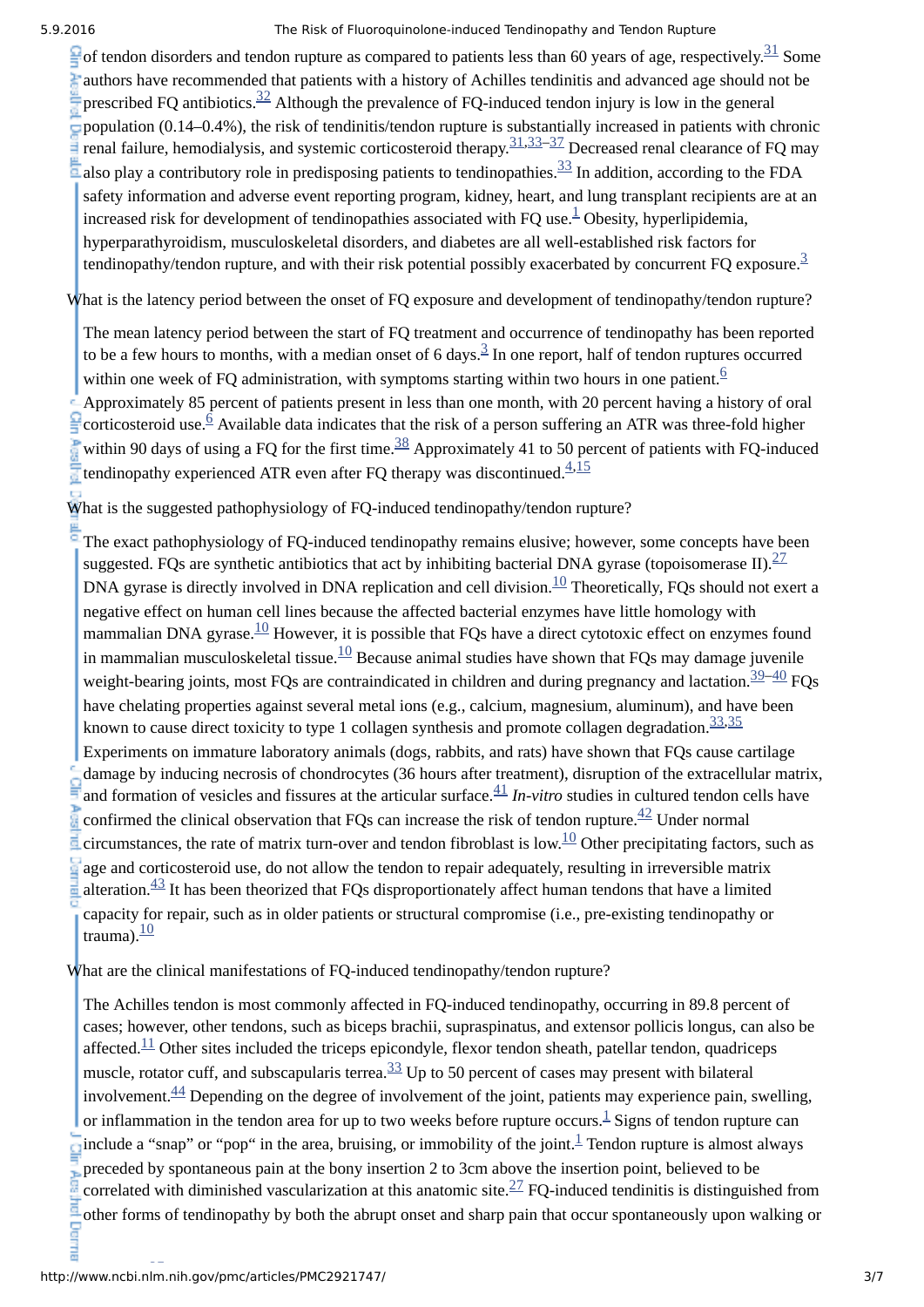of tendon disorders and tendon rupture as compared to patients less than 60 years of age, respectively. $\frac{31}{21}$  $\frac{31}{21}$  $\frac{31}{21}$  Some authors have recommended that patients with a history of Achilles tendinitis and advanced age should not be prescribed FQ antibiotics.  $\frac{32}{2}$  $\frac{32}{2}$  $\frac{32}{2}$  Although the prevalence of FQ-induced tendon injury is low in the general population (0.14–0.4%), the risk of tendinitis/tendon rupture is substantially increased in patients with chronic renal failure, hemodialysis, and systemic corticosteroid therapy.<sup>[31](#page-5-10)[,33](#page-5-12)[–37](#page-5-13)</sup> Decreased renal clearance of FQ may also play a contributory role in predisposing patients to tendinopathies. $^{33}$  $^{33}$  $^{33}$  In addition, according to the FDA safety information and adverse event reporting program, kidney, heart, and lung transplant recipients are at an increased risk for development of tendinopathies associated with FQ use.<sup>[1](#page-4-0)</sup> Obesity, hyperlipidemia, hyperparathyroidism, musculoskeletal disorders, and diabetes are all wellestablished risk factors for tendinopathy/tendon rupture, and with their risk potential possibly exacerbated by concurrent FQ exposure.<sup>[3](#page-4-2)</sup>

What is the latency period between the onset of FQ exposure and development of tendinopathy/tendon rupture?

The mean latency period between the start of FQ treatment and occurrence of tendinopathy has been reported to be a few hours to months, with a median onset of 6 days. $\frac{3}{2}$  $\frac{3}{2}$  $\frac{3}{2}$  In one report, half of tendon ruptures occurred within one week of FQ administration, with symptoms starting within two hours in one patient.  $6$ 

Approximately 85 percent of patients present in less than one month, with 20 percent having a history of oral corticosteroid use.<sup> $\overline{6}$  $\overline{6}$  $\overline{6}$ </sup> Available data indicates that the risk of a person suffering an ATR was three-fold higher within 90 days of using a FQ for the first time. $\frac{38}{3}$  $\frac{38}{3}$  $\frac{38}{3}$  Approximately 41 to 50 percent of patients with FQ-induced tendinopathy experienced ATR even after FQ therapy was discontinued. $^{4,15}_{-}$  $^{4,15}_{-}$  $^{4,15}_{-}$  $^{4,15}_{-}$  $^{4,15}_{-}$ 

What is the suggested pathophysiology of FQ-induced tendinopathy/tendon rupture?

The exact pathophysiology of FQ-induced tendinopathy remains elusive; however, some concepts have been suggested. FQs are synthetic antibiotics that act by inhibiting bacterial DNA gyrase (topoisomerase II). $\frac{27}{2}$  $\frac{27}{2}$  $\frac{27}{2}$ DNA gyrase is directly involved in DNA replication and cell division. $^{10}$  $^{10}$  $^{10}$  Theoretically, FQs should not exert a negative effect on human cell lines because the affected bacterial enzymes have little homology with mammalian DNA gyrase. $\frac{10}{10}$  $\frac{10}{10}$  $\frac{10}{10}$  However, it is possible that FQs have a direct cytotoxic effect on enzymes found in mammalian musculoskeletal tissue. ${}^{10}$  ${}^{10}$  ${}^{10}$  Because animal studies have shown that FQs may damage juvenile weight-bearing joints, most FQs are contraindicated in children and during pregnancy and lactation.<sup>[39–](#page-6-1)[40](#page-6-2)</sup> FQs have chelating properties against several metal ions (e.g., calcium, magnesium, aluminum), and have been known to cause direct toxicity to type 1 collagen synthesis and promote collagen degradation.<sup>[33,](#page-5-12)[35](#page-5-14)</sup> Experiments on immature laboratory animals (dogs, rabbits, and rats) have shown that FQs cause cartilage damage by inducing necrosis of chondrocytes (36 hours after treatment), disruption of the extracellular matrix, and formation of vesicles and fissures at the articular surface. $\frac{41}{n}$  $\frac{41}{n}$  $\frac{41}{n}$  *In-vitro* studies in cultured tendon cells have confirmed the clinical observation that FQs can increase the risk of tendon rupture. $\frac{42}{ }$  $\frac{42}{ }$  $\frac{42}{ }$  Under normal circumstances, the rate of matrix turn-over and tendon fibroblast is low. $^{10}$  $^{10}$  $^{10}$  Other precipitating factors, such as age and corticosteroid use, do not allow the tendon to repair adequately, resulting in irreversible matrix  $\frac{43}{1}$  $\frac{43}{1}$  $\frac{43}{1}$  It has been theorized that FQs disproportionately affect human tendons that have a limited capacity for repair, such as in older patients or structural compromise (i.e., pre-existing tendinopathy or  $\frac{10}{2}$  $\frac{10}{2}$  $\frac{10}{2}$ 

What are the clinical manifestations of FQ-induced tendinopathy/tendon rupture?

The Achilles tendon is most commonly affected in FQ-induced tendinopathy, occurring in 89.8 percent of cases; however, other tendons, such as biceps brachii, supraspinatus, and extensor pollicis longus, can also be affected. $\frac{11}{11}$  $\frac{11}{11}$  $\frac{11}{11}$  Other sites included the triceps epicondyle, flexor tendon sheath, patellar tendon, quadriceps muscle, rotator cuff, and subscapularis terrea. $\frac{33}{5}$  $\frac{33}{5}$  $\frac{33}{5}$  Up to 50 percent of cases may present with bilateral involvement. $\frac{44}{ }$  $\frac{44}{ }$  $\frac{44}{ }$  Depending on the degree of involvement of the joint, patients may experience pain, swelling, or inflammation in the tendon area for up to two weeks before rupture occurs. $^{\underline{1}}$  $^{\underline{1}}$  $^{\underline{1}}$  Signs of tendon rupture can include a "snap" or "pop" in the area, bruising, or immobility of the joint.<sup>[1](#page-4-0)</sup> Tendon rupture is almost always preceded by spontaneous pain at the bony insertion 2 to 3cm above the insertion point, believed to be correlated with diminished vascularization at this anatomic site.<sup>[27](#page-5-6)</sup> FQ-induced tendinitis is distinguished from other forms of tendinopathy by both the abrupt onset and sharp pain that occur spontaneously upon walking or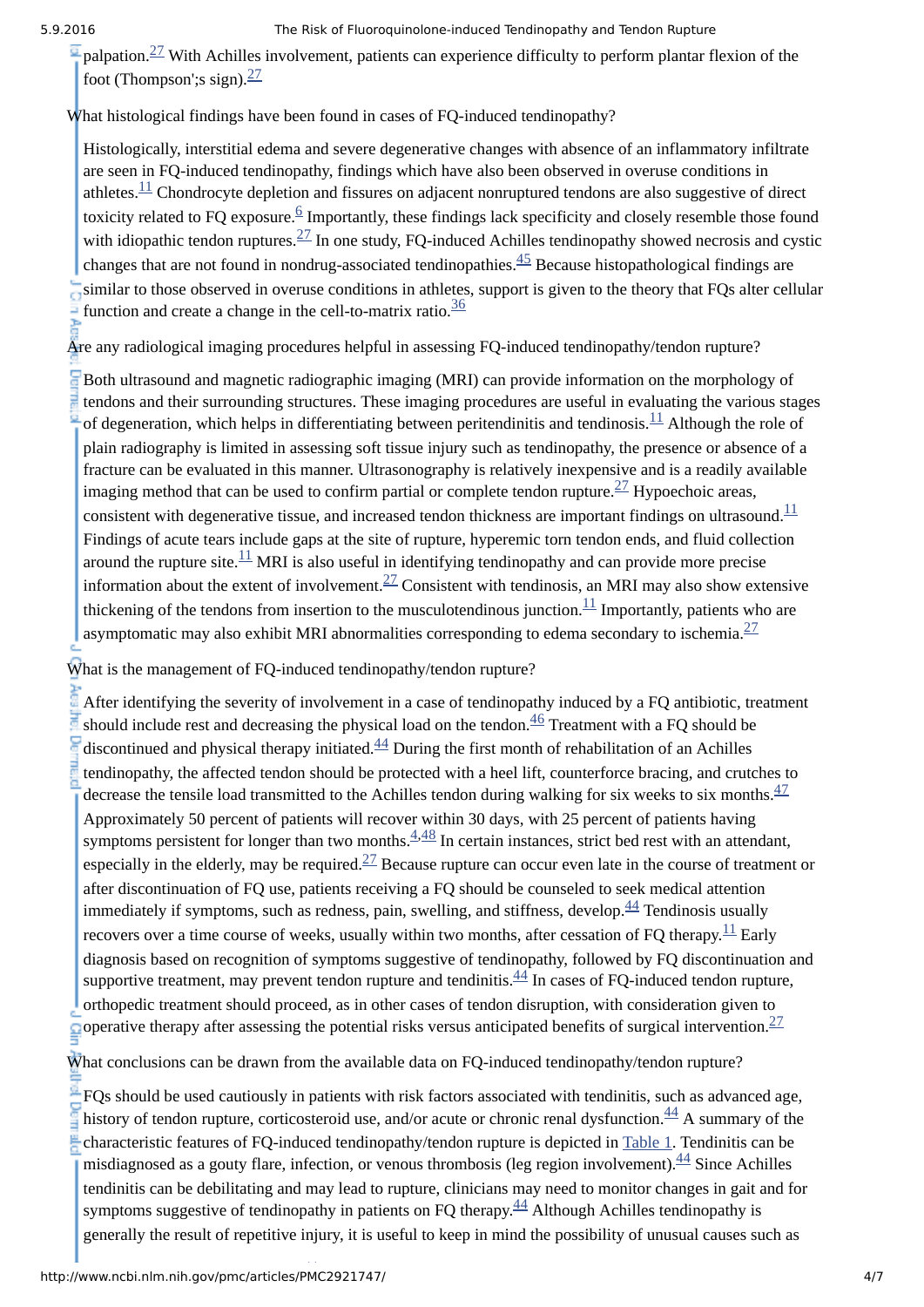palpation. $^{27}$  $^{27}$  $^{27}$  With Achilles involvement, patients can experience difficulty to perform plantar flexion of the foot (Thompson'; ssign). $\frac{27}{3}$  $\frac{27}{3}$  $\frac{27}{3}$ 

What histological findings have been found in cases of FQ-induced tendinopathy?

Histologically, interstitial edema and severe degenerative changes with absence of an inflammatory infiltrate are seen in FQ-induced tendinopathy, findings which have also been observed in overuse conditions in athletes. $\frac{11}{1}$  $\frac{11}{1}$  $\frac{11}{1}$  Chondrocyte depletion and fissures on adjacent nonruptured tendons are also suggestive of direct toxicity related to FQ exposure. $6/6$  $6/6$  Importantly, these findings lack specificity and closely resemble those found with idiopathic tendon ruptures. $^{27}$  $^{27}$  $^{27}$  In one study, FQ-induced Achilles tendinopathy showed necrosis and cystic changes that are not found in nondrug-associated tendinopathies. $^{45}$  $^{45}$  $^{45}$  Because histopathological findings are similar to those observed in overuse conditions in athletes, support is given to the theory that FQs alter cellular function and create a change in the cell-to-matrix ratio. $\frac{36}{36}$  $\frac{36}{36}$  $\frac{36}{36}$ 

Are any radiological imaging procedures helpful in assessing FQ-induced tendinopathy/tendon rupture?

Both ultrasound and magnetic radiographic imaging (MRI) can provide information on the morphology of tendons and their surrounding structures. These imaging procedures are useful in evaluating the various stages of degeneration, which helps in differentiating between peritendinitis and tendinosis.  $\frac{11}{11}$  $\frac{11}{11}$  $\frac{11}{11}$  Although the role of plain radiography is limited in assessing soft tissue injury such as tendinopathy, the presence or absence of a fracture can be evaluated in this manner. Ultrasonography is relatively inexpensive and is a readily available imaging method that can be used to confirm partial or complete tendon rupture.  $27$  Hypoechoic areas, consistent with degenerative tissue, and increased tendon thickness are important findings on ultrasound. $^{11}$  $^{11}$  $^{11}$ Findings of acute tears include gaps at the site of rupture, hyperemic torn tendon ends, and fluid collection around the rupture site. $\frac{11}{11}$  $\frac{11}{11}$  $\frac{11}{11}$  MRI is also useful in identifying tendinopathy and can provide more precise information about the extent of involvement. $^{27}$  $^{27}$  $^{27}$  Consistent with tendinosis, an MRI may also show extensive thickening of the tendons from insertion to the musculotendinous junction. $^{11}$  $^{11}$  $^{11}$  Importantly, patients who are asymptomatic may also exhibit MRI abnormalities corresponding to edema secondary to ischemia. $\frac{27}{2}$  $\frac{27}{2}$  $\frac{27}{2}$ 

What is the management of FQ-induced tendinopathy/tendon rupture?

After identifying the severity of involvement in a case of tendinopathy induced by a FQ antibiotic, treatment should include rest and decreasing the physical load on the tendon. $^{46}$  $^{46}$  $^{46}$  Treatment with a FQ should be discontinued and physical therapy initiated. $\frac{44}{5}$  $\frac{44}{5}$  $\frac{44}{5}$  During the first month of rehabilitation of an Achilles tendinopathy, the affected tendon should be protected with a heel lift, counterforce bracing, and crutches to decrease the tensile load transmitted to the Achilles tendon during walking for six weeks to six months.  $\frac{47}{5}$  $\frac{47}{5}$  $\frac{47}{5}$ Approximately 50 percent of patients will recover within 30 days, with 25 percent of patients having symptoms persistent for longer than two months. $4,48$  $4,48$  In certain instances, strict bed rest with an attendant, especially in the elderly, may be required. $^{27}$  $^{27}$  $^{27}$  Because rupture can occur even late in the course of treatment or after discontinuation of FQ use, patients receiving a FQ should be counseled to seek medical attention immediately if symptoms, such as redness, pain, swelling, and stiffness, develop. $\frac{44}{1}$  $\frac{44}{1}$  $\frac{44}{1}$  Tendinosis usually recovers over a time course of weeks, usually within two months, after cessation of FQ therapy. $^{11}$  $^{11}$  $^{11}$  Early diagnosis based on recognition of symptoms suggestive of tendinopathy, followed by FQ discontinuation and supportive treatment, may prevent tendon rupture and tendinitis. $\frac{44}{1}$  $\frac{44}{1}$  $\frac{44}{1}$ In cases of FQ-induced tendon rupture, orthopedic treatment should proceed, as in other cases of tendon disruption, with consideration given to operative therapy after assessing the potential risks versus anticipated benefits of surgical intervention.  $\frac{27}{2}$  $\frac{27}{2}$  $\frac{27}{2}$ 

What conclusions can be drawn from the available data on FQ-induced tendinopathy/tendon rupture?

FQs should be used cautiously in patients with risk factors associated with tendinitis, such as advanced age, history of tendon rupture, corticosteroid use, and/or acute or chronic renal dysfunction.  $^{44}$  $^{44}$  $^{44}$  A summary of the characteristic features of FQ-induced tendinopathy/tendon rupture is depicted in [Table](http://www.ncbi.nlm.nih.gov/pmc/articles/PMC2921747/table/T1/) 1. Tendinitis can be misdiagnosed as a gouty flare, infection, or venous thrombosis (leg region involvement). <sup>[44](#page-6-6)</sup> Since Achilles tendinitis can be debilitating and may lead to rupture, clinicians may need to monitor changes in gait and for symptoms suggestive of tendinopathy in patients on FQ therapy. $\frac{44}{4}$  $\frac{44}{4}$  $\frac{44}{4}$  Although Achilles tendinopathy is generally the result of repetitive injury, it is useful to keep in mind the possibility of unusual causes such as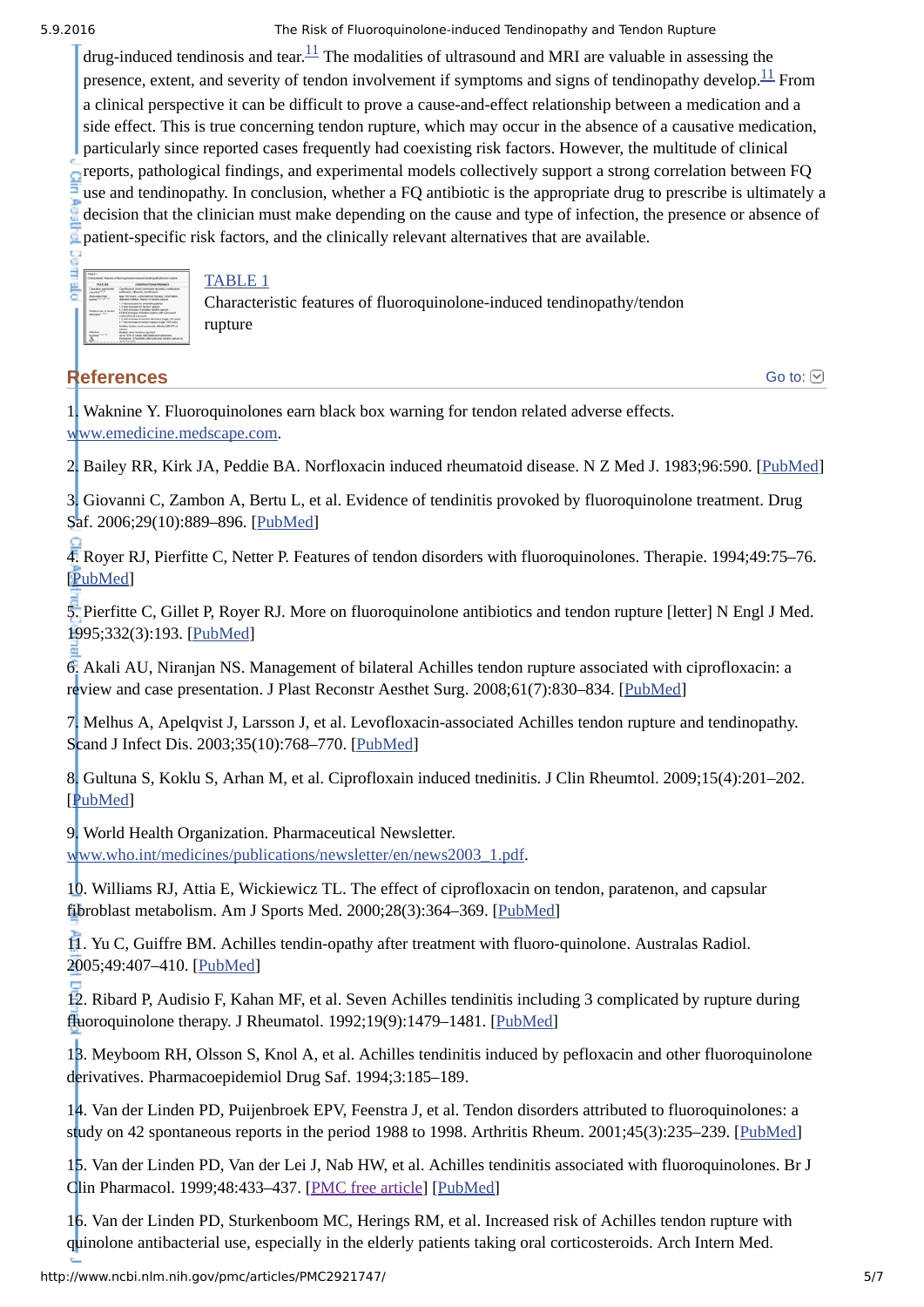drug-induced tendinosis and tear. $^{11}$  $^{11}$  $^{11}$  The modalities of ultrasound and MRI are valuable in assessing the presence, extent, and severity of tendon involvement if symptoms and signs of tendinopathy develop. $^{11}$  $^{11}$  $^{11}$  From a clinical perspective it can be difficult to prove a cause-and-effect relationship between a medication and a side effect. This is true concerning tendon rupture, which may occur in the absence of a causative medication, particularly since reported cases frequently had coexisting risk factors. However, the multitude of clinical reports, pathological findings, and experimental models collectively support a strong correlation between FQ use and tendinopathy. In conclusion, whether a FQ antibiotic is the appropriate drug to prescribe is ultimately a decision that the clinician must make depending on the cause and type of infection, the presence or absence of patient-specific risk factors, and the clinically relevant alternatives that are available.



## [TABLE](http://www.ncbi.nlm.nih.gov/pmc/articles/PMC2921747/table/T1/) 1

Characteristic features of fluoroquinolone-induced tendinopathy/tendon rupture

## **References**

Go to:  $\odot$ 

<span id="page-4-0"></span>1. Waknine Y. Fluoroquinolones earn black box warning for tendon related adverse effects. [www.emedicine.medscape.com](http://www.emedicine.medscape.com/).

<span id="page-4-1"></span>2. Bailey RR, Kirk JA, Peddie BA. Norfloxacin induced rheumatoid disease. N Z Med J. 1983;96:590. [[PubMed](http://www.ncbi.nlm.nih.gov/pubmed/6223241)]

<span id="page-4-2"></span>3. Giovanni C, Zambon A, Bertu L, et al. Evidence of tendinitis provoked by fluoroquinolone treatment. Drug Saf. 2006;29(10):889-896. [[PubMed](http://www.ncbi.nlm.nih.gov/pubmed/16970512)]

<span id="page-4-14"></span>4. Royer RJ, Pierfitte C, Netter P. Features of tendon disorders with fluoroquinolones. Therapie. 1994;49:75–76. [[PubMed](http://www.ncbi.nlm.nih.gov/pubmed/8091374)]

<span id="page-4-3"></span>5. Pierfitte C, Gillet P, Royer RJ. More on fluoroquinolone antibiotics and tendon rupture [letter] N Engl J Med. 1995;332(3):193. [[PubMed\]](http://www.ncbi.nlm.nih.gov/pubmed/7800022)

<span id="page-4-4"></span>6. Akali AU, Niranjan NS. Management of bilateral Achilles tendon rupture associated with ciprofloxacin: a review and case presentation. J Plast Reconstr Aesthet Surg. 2008;61(7):830–834. [[PubMed](http://www.ncbi.nlm.nih.gov/pubmed/17409040)]

<span id="page-4-5"></span>7. Melhus A, Apelqvist J, Larsson J, et al. Levofloxacinassociated Achilles tendon rupture and tendinopathy. Scand J Infect Dis. 2003;35(10):768–770. [\[PubMed\]](http://www.ncbi.nlm.nih.gov/pubmed/14606622)

<span id="page-4-6"></span>8. Gultuna S, Koklu S, Arhan M, et al. Ciprofloxain induced tnedinitis. J Clin Rheumtol. 2009;15(4):201–202. [[PubMed](http://www.ncbi.nlm.nih.gov/pubmed/19455056)]

<span id="page-4-7"></span>9. World Health Organization. Pharmaceutical Newsletter.

[www.who.int/medicines/publications/newsletter/en/news2003\\_1.pdf](http://www.who.int/medicines/publications/newsletter/en/news2003_1.pdf).

<span id="page-4-8"></span>10. Williams RJ, Attia E, Wickiewicz TL. The effect of ciprofloxacin on tendon, paratenon, and capsular fibroblast metabolism. Am J Sports Med. 2000;28(3):364–369. [\[PubMed\]](http://www.ncbi.nlm.nih.gov/pubmed/10843129)

<span id="page-4-9"></span>11. Yu C, Guiffre BM. Achilles tendin-opathy after treatment with fluoro-quinolone. Australas Radiol. 2005;49:407–410. [\[PubMed](http://www.ncbi.nlm.nih.gov/pubmed/16174181)]

<span id="page-4-10"></span>12. Ribard P, Audisio F, Kahan MF, et al. Seven Achilles tendinitis including 3 complicated by rupture during fluoroquinolone therapy. J Rheumatol. 1992;19(9):1479-1481. [\[PubMed](http://www.ncbi.nlm.nih.gov/pubmed/1433021)]

<span id="page-4-11"></span>13. Meyboom RH, Olsson S, Knol A, et al. Achilles tendinitis induced by pefloxacin and other fluoroquinolone derivatives. Pharmacoepidemiol Drug Saf. 1994;3:185–189.

<span id="page-4-12"></span>14. Van der Linden PD, Puijenbroek EPV, Feenstra J, et al. Tendon disorders attributed to fluoroquinolones: a study on 42 spontaneous reports in the period 1988 to 1998. Arthritis Rheum. 2001;45(3):235–239. [[PubMed\]](http://www.ncbi.nlm.nih.gov/pubmed/11409663)

<span id="page-4-15"></span>15. Van der Linden PD, Van der Lei J, Nab HW, et al. Achilles tendinitis associated with fluoroquinolones. Br J Clin Pharmacol. 1999;48:433–437. [PMC free [article\]](http://www.ncbi.nlm.nih.gov/pmc/articles/PMC2014320/) [\[PubMed](http://www.ncbi.nlm.nih.gov/pubmed/10510157)]

<span id="page-4-13"></span>16. Van der Linden PD, Sturkenboom MC, Herings RM, et al. Increased risk of Achilles tendon rupture with quinolone antibacterial use, especially in the elderly patients taking oral corticosteroids. Arch Intern Med.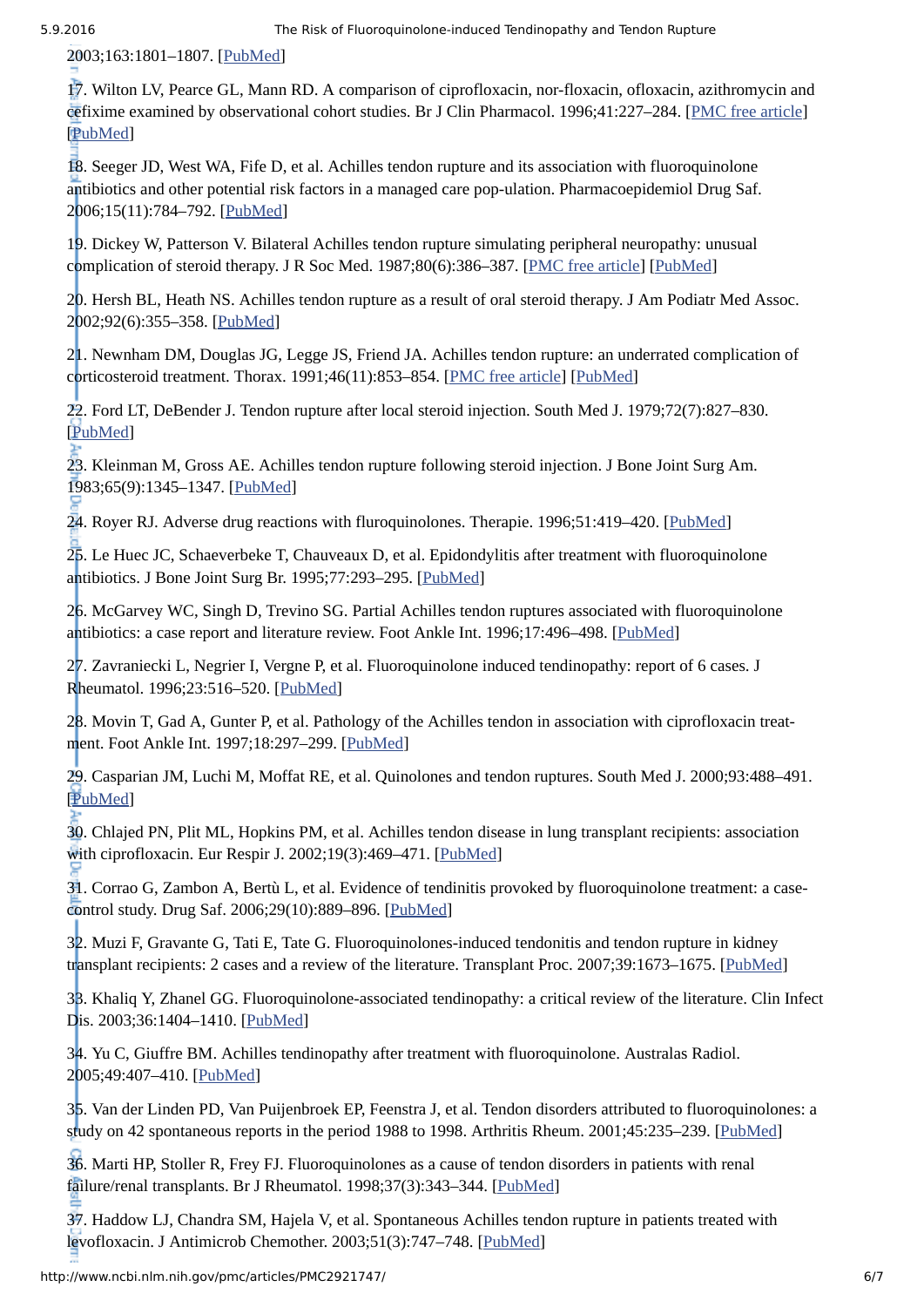2003;163:1801–1807. [\[PubMed\]](http://www.ncbi.nlm.nih.gov/pubmed/12912715)

<span id="page-5-0"></span>17. Wilton LV, Pearce GL, Mann RD. A comparison of ciprofloxacin, nor-floxacin, ofloxacin, azithromycin and cefixime examined by observational cohort studies. Br J Clin Pharmacol. 1996;41:227–284. [PMC free [article\]](http://www.ncbi.nlm.nih.gov/pmc/articles/PMC2042595/) [[PubMed](http://www.ncbi.nlm.nih.gov/pubmed/8730972)]

<span id="page-5-1"></span>18. Seeger JD, West WA, Fife D, et al. Achilles tendon rupture and its association with fluoroquinolone antibiotics and other potential risk factors in a managed care pop-ulation. Pharmacoepidemiol Drug Saf. 2006;15(11):784–792. [[PubMed](http://www.ncbi.nlm.nih.gov/pubmed/16456878)]

<span id="page-5-2"></span>19. Dickey W, Patterson V. Bilateral Achilles tendon rupture simulating peripheral neuropathy: unusual complication of steroid therapy. J R Soc Med. 1987;80(6):386-387. [PMC free [article\]](http://www.ncbi.nlm.nih.gov/pmc/articles/PMC1290864/) [[PubMed\]](http://www.ncbi.nlm.nih.gov/pubmed/3040997)

20. Hersh BL, Heath NS. Achilles tendon rupture as a result of oral steroid therapy. J Am Podiatr Med Assoc. 2002;92(6):355–358. [[PubMed](http://www.ncbi.nlm.nih.gov/pubmed/12070236)]

21. Newnham DM, Douglas JG, Legge JS, Friend JA. Achilles tendon rupture: an underrated complication of corticosteroid treatment. Thorax. 1991;46(11):853–854. [PMC free [article](http://www.ncbi.nlm.nih.gov/pmc/articles/PMC1021044/)] [[PubMed](http://www.ncbi.nlm.nih.gov/pubmed/1771608)]

22. Ford LT, DeBender J. Tendon rupture after local steroid injection. South Med J. 1979;72(7):827–830. [[PubMed](http://www.ncbi.nlm.nih.gov/pubmed/451692)]

<span id="page-5-3"></span>23. Kleinman M, Gross AE. Achilles tendon rupture following steroid injection. J Bone Joint Surg Am. 1983;65(9):1345–1347. [[PubMed\]](http://www.ncbi.nlm.nih.gov/pubmed/6197416)

<span id="page-5-4"></span>24. Royer RJ. Adverse drug reactions with fluroquinolones. Therapie. 1996;51:419-420. [[PubMed](http://www.ncbi.nlm.nih.gov/pubmed/8953821)]

25. Le Huec JC, Schaeverbeke T, Chauveaux D, et al. Epidondylitis after treatment with fluoroquinolone antibiotics. J Bone Joint Surg Br. 1995;77:293–295. [[PubMed](http://www.ncbi.nlm.nih.gov/pubmed/7706350)]

<span id="page-5-5"></span>26. McGarvey WC, Singh D, Trevino SG. Partial Achilles tendon ruptures associated with fluoroquinolone antibiotics: a case report and literature review. Foot Ankle Int. 1996;17:496–498. [\[PubMed](http://www.ncbi.nlm.nih.gov/pubmed/8863030)]

<span id="page-5-6"></span>27. Zavraniecki L, Negrier I, Vergne P, et al. Fluoroquinolone induced tendinopathy: report of 6 cases. J Rheumatol. 1996;23:516–520. [[PubMed](http://www.ncbi.nlm.nih.gov/pubmed/8832995)]

<span id="page-5-7"></span>28. Movin T, Gad A, Gunter P, et al. Pathology of the Achilles tendon in association with ciprofloxacin treatment. Foot Ankle Int. 1997;18:297–299. [[PubMed](http://www.ncbi.nlm.nih.gov/pubmed/9167931)]

<span id="page-5-8"></span>29. Casparian JM, Luchi M, Moffat RE, et al. Quinolones and tendon ruptures. South Med J. 2000;93:488–491. [[PubMed](http://www.ncbi.nlm.nih.gov/pubmed/10832946)]

<span id="page-5-9"></span>30. Chlajed PN, Plit ML, Hopkins PM, et al. Achilles tendon disease in lung transplant recipients: association with ciprofloxacin. Eur Respir J. 2002;19(3):469–471. [\[PubMed\]](http://www.ncbi.nlm.nih.gov/pubmed/11936524)

<span id="page-5-10"></span>31. Corrao G, Zambon A, Bertù L, et al. Evidence of tendinitis provoked by fluoroquinolone treatment: a casecontrol study. Drug Saf. 2006;29(10):889–896. [[PubMed](http://www.ncbi.nlm.nih.gov/pubmed/16970512)]

<span id="page-5-11"></span>32. Muzi F, Gravante G, Tati E, Tate G. Fluoroquinolones-induced tendonitis and tendon rupture in kidney transplant recipients: 2 cases and a review of the literature. Transplant Proc. 2007;39:1673-1675. [\[PubMed\]](http://www.ncbi.nlm.nih.gov/pubmed/17580216)

<span id="page-5-12"></span>33. Khaliq Y, Zhanel GG. Fluoroquinolone-associated tendinopathy: a critical review of the literature. Clin Infect Dis. 2003;36:1404–1410. [\[PubMed](http://www.ncbi.nlm.nih.gov/pubmed/12766835)]

34. Yu C, Giuffre BM. Achilles tendinopathy after treatment with fluoroquinolone. Australas Radiol. 2005;49:407–410. [\[PubMed](http://www.ncbi.nlm.nih.gov/pubmed/16174181)]

<span id="page-5-14"></span>35. Van der Linden PD, Van Puijenbroek EP, Feenstra J, et al. Tendon disorders attributed to fluoroquinolones: a study on 42 spontaneous reports in the period 1988 to 1998. Arthritis Rheum. 2001;45:235–239. [[PubMed](http://www.ncbi.nlm.nih.gov/pubmed/11409663)]

<span id="page-5-15"></span>36. Marti HP, Stoller R, Frey FJ. Fluoroquinolones as a cause of tendon disorders in patients with renal failure/renal transplants. Br J Rheumatol. 1998;37(3):343–344. [\[PubMed\]](http://www.ncbi.nlm.nih.gov/pubmed/9566681)

<span id="page-5-13"></span>37. Haddow LJ, Chandra SM, Hajela V, et al. Spontaneous Achilles tendon rupture in patients treated with levofloxacin. J Antimicrob Chemother. 2003;51(3):747–748. [[PubMed](http://www.ncbi.nlm.nih.gov/pubmed/12615887)]